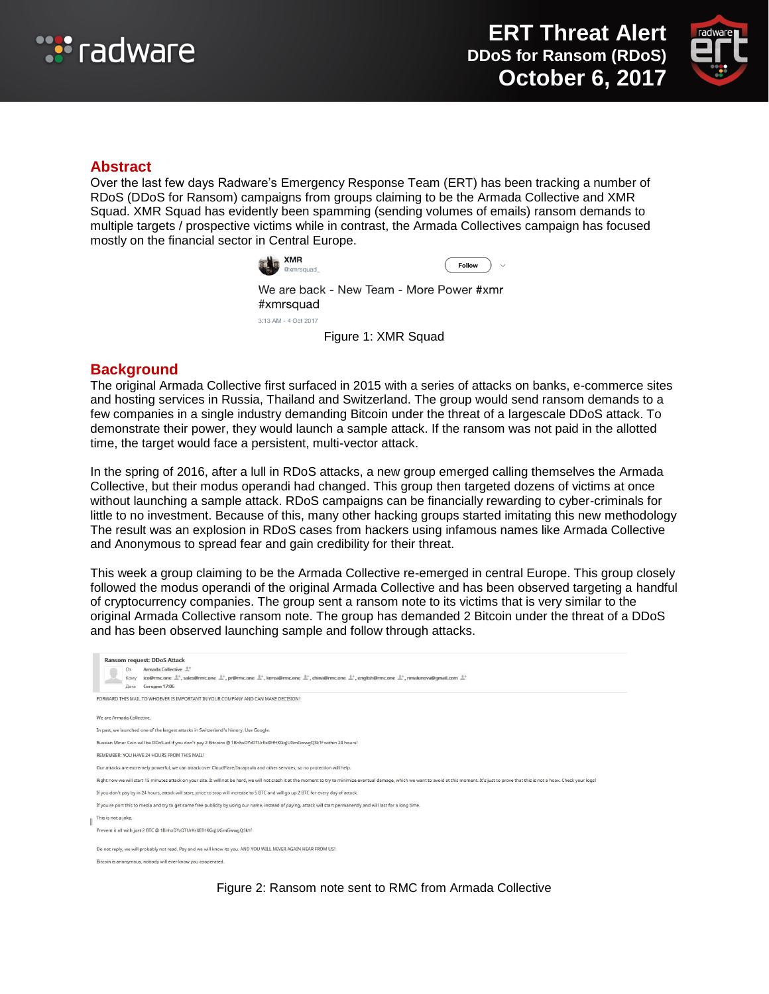



### **Abstract**

Over the last few days Radware's Emergency Response Team (ERT) has been tracking a number of RDoS (DDoS for Ransom) campaigns from groups claiming to be the Armada Collective and XMR Squad. XMR Squad has evidently been spamming (sending volumes of emails) ransom demands to multiple targets / prospective victims while in contrast, the Armada Collectives campaign has focused mostly on the financial sector in Central Europe.



We are back - New Team - More Power #xmr #xmrsquad 3:13 AM - 4 Oct 2017

Figure 1: XMR Squad

### **Background**

The original Armada Collective first surfaced in 2015 with a series of attacks on banks, e-commerce sites and hosting services in Russia, Thailand and Switzerland. The group would send ransom demands to a few companies in a single industry demanding Bitcoin under the threat of a largescale DDoS attack. To demonstrate their power, they would launch a sample attack. If the ransom was not paid in the allotted time, the target would face a persistent, multi-vector attack.

In the spring of 2016, after a lull in RDoS attacks, a new group emerged calling themselves the Armada Collective, but their modus operandi had changed. This group then targeted dozens of victims at once without launching a sample attack. RDoS campaigns can be financially rewarding to cyber-criminals for little to no investment. Because of this, many other hacking groups started imitating this new methodology The result was an explosion in RDoS cases from hackers using infamous names like Armada Collective and Anonymous to spread fear and gain credibility for their threat.

This week a group claiming to be the Armada Collective re-emerged in central Europe. This group closely followed the modus operandi of the original Armada Collective and has been observed targeting a handful of cryptocurrency companies. The group sent a ransom note to its victims that is very similar to the original Armada Collective ransom note. The group has demanded 2 Bitcoin under the threat of a DDoS and has been observed launching sample and follow through attacks.

| Ransom request: DDoS Attack<br>Armada Collective <sup>0+</sup><br>Oт<br>ico@rmc.one $\stackrel{\text{d}}{=}$ , sales@rmc.one $\stackrel{\text{d}}{=}$ , pr@rmc.one $\stackrel{\text{d}}{=}$ , korea@rmc.one $\stackrel{\text{d}}{=}$ , china@rmc.one $\stackrel{\text{d}}{=}$ , english@rmc.one $\stackrel{\text{d}}{=}$ , nmalunova@qmail.com $\stackrel{\text{d}}{=}$<br>Komy<br>Сегодня 17:06<br>Дата |
|----------------------------------------------------------------------------------------------------------------------------------------------------------------------------------------------------------------------------------------------------------------------------------------------------------------------------------------------------------------------------------------------------------|
| FORWARD THIS MAIL TO WHOEVER IS IMPORTANT IN YOUR COMPANY AND CAN MAKE DECISION!                                                                                                                                                                                                                                                                                                                         |
| We are Armada Collective.                                                                                                                                                                                                                                                                                                                                                                                |
| In past, we launched one of the largest attacks in Switzerland's history. Use Google.                                                                                                                                                                                                                                                                                                                    |
| Russian Miner Coin will be DDoS-ed if you don't pay 2 Bitcoins @ 1BnhxDYzDTUrKsXEfHKGqJUGmGwwqQ3k1f within 24 hours!                                                                                                                                                                                                                                                                                     |
| REMEMBER: YOU HAVE 24 HOURS FROM THIS MAIL!                                                                                                                                                                                                                                                                                                                                                              |
| Our attacks are extremely powerful, we can attack over CloudFlare/Incapsula and other services, so no protection will help.                                                                                                                                                                                                                                                                              |
| Right now we will start 15 minutes attack on your site. It will not be hard, we will not crash it at the moment to try to minimize eventual damage, which we want to avoid at this moment. It's just to prove that this is not                                                                                                                                                                           |
| If you don't pay by in 24 hours, attack will start, price to stop will increase to 5 BTC and will go up 2 BTC for every day of attack.                                                                                                                                                                                                                                                                   |
| If you re port this to media and try to get some free publicity by using our name, instead of paying, attack will start permanently and will last for a long time.                                                                                                                                                                                                                                       |
| This is not a joke.                                                                                                                                                                                                                                                                                                                                                                                      |
| Prevent it all with just 2 BTC @ 1BnhxDYzDTUrKsXEfHKGqJUGmGwwqQ3k1f                                                                                                                                                                                                                                                                                                                                      |
| Do not reply, we will probably not read. Pay and we will know its you. AND YOU WILL NEVER AGAIN HEAR FROM US!                                                                                                                                                                                                                                                                                            |
| Bitcoin is anonymous, nobody will ever know you cooperated.                                                                                                                                                                                                                                                                                                                                              |

Figure 2: Ransom note sent to RMC from Armada Collective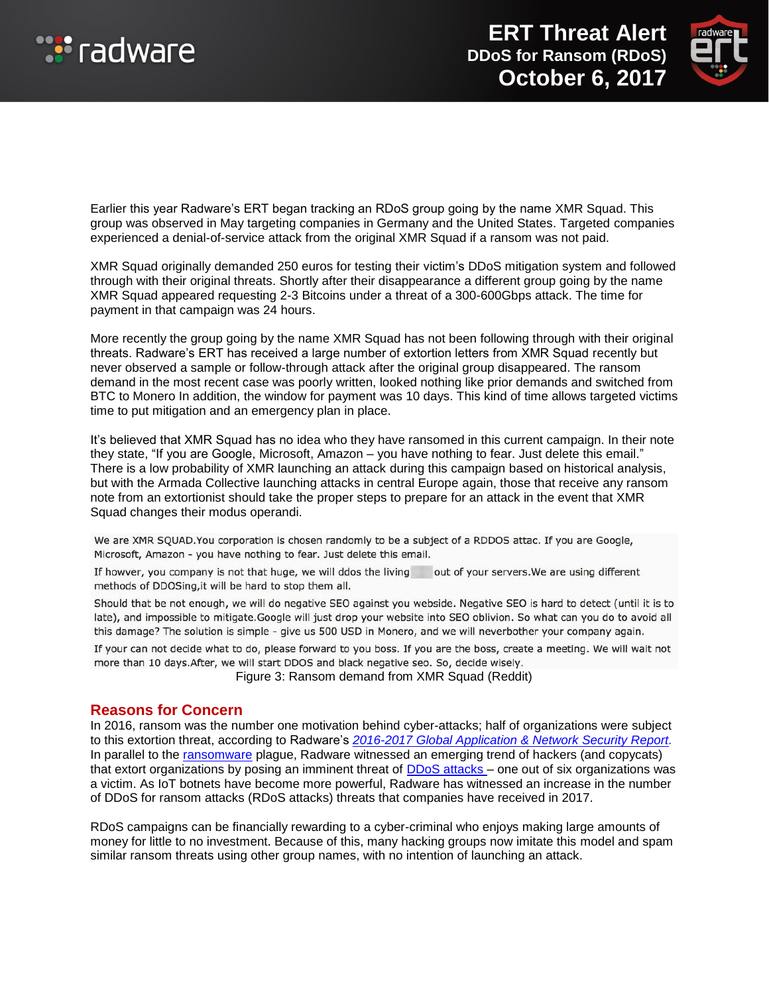



Earlier this year Radware's ERT began tracking an RDoS group going by the name XMR Squad. This group was observed in May targeting companies in Germany and the United States. Targeted companies experienced a denial-of-service attack from the original XMR Squad if a ransom was not paid.

XMR Squad originally demanded 250 euros for testing their victim's DDoS mitigation system and followed through with their original threats. Shortly after their disappearance a different group going by the name XMR Squad appeared requesting 2-3 Bitcoins under a threat of a 300-600Gbps attack. The time for payment in that campaign was 24 hours.

More recently the group going by the name XMR Squad has not been following through with their original threats. Radware's ERT has received a large number of extortion letters from XMR Squad recently but never observed a sample or follow-through attack after the original group disappeared. The ransom demand in the most recent case was poorly written, looked nothing like prior demands and switched from BTC to Monero In addition, the window for payment was 10 days. This kind of time allows targeted victims time to put mitigation and an emergency plan in place.

It's believed that XMR Squad has no idea who they have ransomed in this current campaign. In their note they state, "If you are Google, Microsoft, Amazon – you have nothing to fear. Just delete this email." There is a low probability of XMR launching an attack during this campaign based on historical analysis, but with the Armada Collective launching attacks in central Europe again, those that receive any ransom note from an extortionist should take the proper steps to prepare for an attack in the event that XMR Squad changes their modus operandi.

We are XMR SQUAD. You corporation is chosen randomly to be a subject of a RDDOS attac. If you are Google, Microsoft, Amazon - you have nothing to fear. Just delete this email.

If howver, you company is not that huge, we will ddos the living out of your servers. We are using different methods of DDOSing, it will be hard to stop them all.

Should that be not enough, we will do negative SEO against you webside. Negative SEO is hard to detect (until it is to late), and impossible to mitigate.Google will just drop your website into SEO oblivion. So what can you do to avoid all this damage? The solution is simple - give us 500 USD in Monero, and we will neverbother your company again.

If your can not decide what to do, please forward to you boss. If you are the boss, create a meeting. We will wait not more than 10 days. After, we will start DDOS and black negative seo. So, decide wisely.

Figure 3: Ransom demand from XMR Squad (Reddit)

#### **Reasons for Concern**

In 2016, ransom was the number one motivation behind cyber-attacks; half of organizations were subject to this extortion threat, according to Radware's *[2016-2017 Global Application & Network Security Report.](https://www.radware.com/WorkArea/DownloadAsset.aspx?ID=6442459121)*  In parallel to the [ransomware](https://security.radware.com/ddos-knowledge-center/ddos-chronicles/growing-threat-from-ransomware/) plague, Radware witnessed an emerging trend of hackers (and copycats) that extort organizations by posing an imminent threat of **DDoS** attacks - one out of six organizations was a victim. As IoT botnets have become more powerful, Radware has witnessed an increase in the number of DDoS for ransom attacks (RDoS attacks) threats that companies have received in 2017.

RDoS campaigns can be financially rewarding to a cyber-criminal who enjoys making large amounts of money for little to no investment. Because of this, many hacking groups now imitate this model and spam similar ransom threats using other group names, with no intention of launching an attack.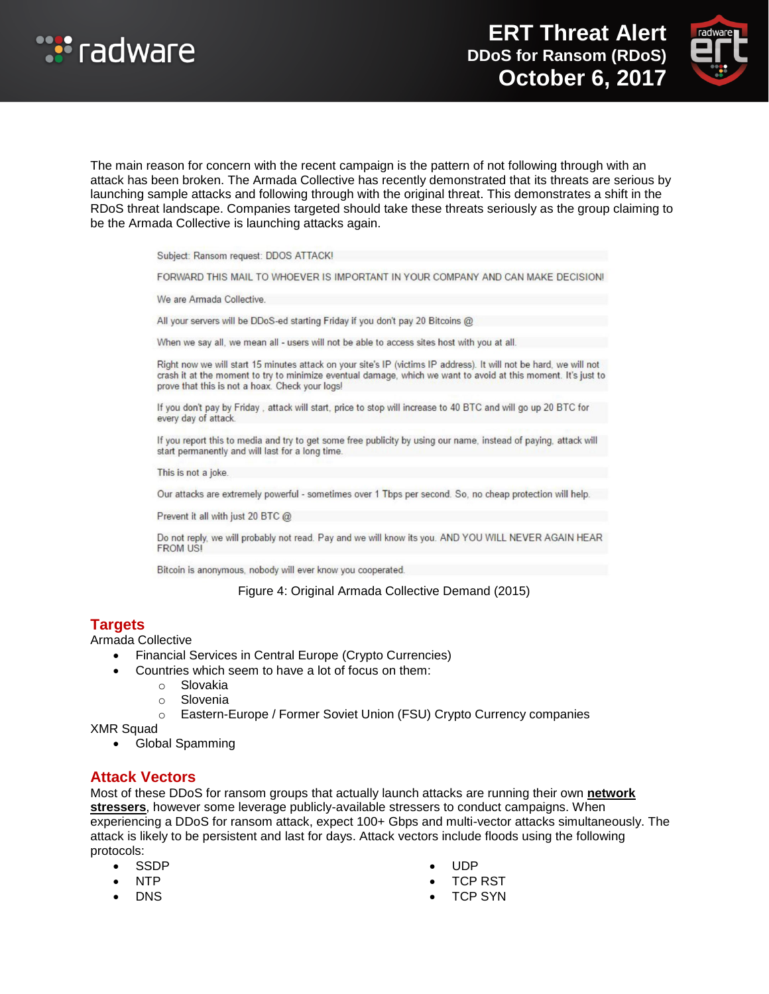



The main reason for concern with the recent campaign is the pattern of not following through with an attack has been broken. The Armada Collective has recently demonstrated that its threats are serious by launching sample attacks and following through with the original threat. This demonstrates a shift in the RDoS threat landscape. Companies targeted should take these threats seriously as the group claiming to be the Armada Collective is launching attacks again.

Subject: Ransom request: DDOS ATTACK!

FORWARD THIS MAIL TO WHOEVER IS IMPORTANT IN YOUR COMPANY AND CAN MAKE DECISION!

We are Armada Collective.

All your servers will be DDoS-ed starting Friday if you don't pay 20 Bitcoins @

When we say all, we mean all - users will not be able to access sites host with you at all.

Right now we will start 15 minutes attack on your site's IP (victims IP address). It will not be hard, we will not crash it at the moment to try to minimize eventual damage, which we want to avoid at this moment. It's just to prove that this is not a hoax. Check your logs!

If you don't pay by Friday, attack will start, price to stop will increase to 40 BTC and will go up 20 BTC for every day of attack.

If you report this to media and try to get some free publicity by using our name, instead of paying, attack will start permanently and will last for a long time.

This is not a joke.

Our attacks are extremely powerful - sometimes over 1 Tbps per second. So, no cheap protection will help.

Prevent it all with just 20 BTC @

Do not reply, we will probably not read. Pay and we will know its you. AND YOU WILL NEVER AGAIN HEAR **FROM US!** 

Bitcoin is anonymous, nobody will ever know you cooperated.

Figure 4: Original Armada Collective Demand (2015)

### **Targets**

Armada Collective

- Financial Services in Central Europe (Crypto Currencies)
- Countries which seem to have a lot of focus on them:
	- o Slovakia
	- o Slovenia
	- o Eastern-Europe / Former Soviet Union (FSU) Crypto Currency companies

XMR Squad

Global Spamming

### **Attack Vectors**

Most of these DDoS for ransom groups that actually launch attacks are running their own **[network](https://security.radware.com/ddos-threats-attacks/threat-advisories-attack-reports/ddos-as-a-service/)  [stressers](https://security.radware.com/ddos-threats-attacks/threat-advisories-attack-reports/ddos-as-a-service/)**, however some leverage publicly-available stressers to conduct campaigns. When experiencing a DDoS for ransom attack, expect 100+ Gbps and multi-vector attacks simultaneously. The attack is likely to be persistent and last for days. Attack vectors include floods using the following protocols:

- SSDP
- NTP
- DNS
- UDP
- TCP RST
- TCP SYN